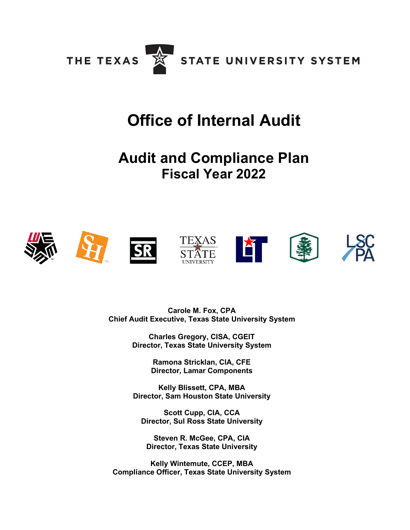

# **Office of Internal Audit**

# **Audit and Compliance Plan Fiscal Year 2022**



**Carole M. Fox, CPA Chief Audit Executive, Texas State University System**

> **Charles Gregory, CISA, CGEIT Director, Texas State University System**

> > **Ramona Stricklan, CIA, CFE Director, Lamar Components**

**Kelly Blissett, CPA, MBA Director, Sam Houston State University**

**Scott Cupp, CIA, CCA Director, Sul Ross State University**

**Steven R. McGee, CPA, CIA Director, Texas State University**

**Kelly Wintemute, CCEP, MBA Compliance Officer, Texas State University System**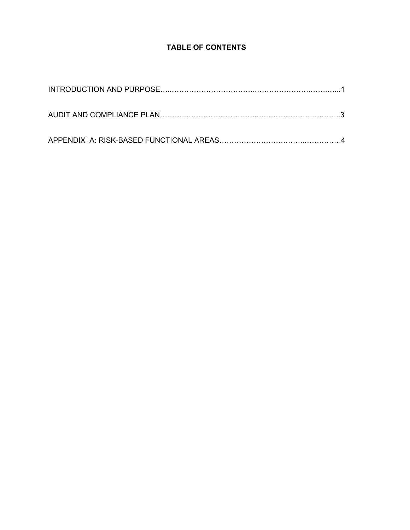# **TABLE OF CONTENTS**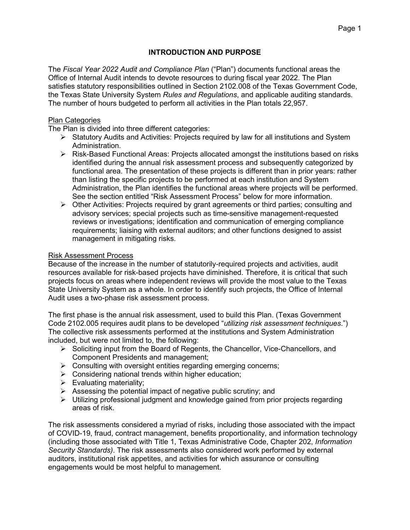### **INTRODUCTION AND PURPOSE**

The *Fiscal Year 2022 Audit and Compliance Plan* ("Plan") documents functional areas the Office of Internal Audit intends to devote resources to during fiscal year 2022. The Plan satisfies statutory responsibilities outlined in Section 2102.008 of the Texas Government Code, the Texas State University System *Rules and Regulations*, and applicable auditing standards. The number of hours budgeted to perform all activities in the Plan totals 22,957.

#### Plan Categories

The Plan is divided into three different categories:

- $\triangleright$  Statutory Audits and Activities: Projects required by law for all institutions and System Administration.
- Risk-Based Functional Areas: Projects allocated amongst the institutions based on risks identified during the annual risk assessment process and subsequently categorized by functional area. The presentation of these projects is different than in prior years: rather than listing the specific projects to be performed at each institution and System Administration, the Plan identifies the functional areas where projects will be performed. See the section entitled "Risk Assessment Process" below for more information.
- $\triangleright$  Other Activities: Projects required by grant agreements or third parties; consulting and advisory services; special projects such as time-sensitive management-requested reviews or investigations; identification and communication of emerging compliance requirements; liaising with external auditors; and other functions designed to assist management in mitigating risks.

#### Risk Assessment Process

Because of the increase in the number of statutorily-required projects and activities, audit resources available for risk-based projects have diminished. Therefore, it is critical that such projects focus on areas where independent reviews will provide the most value to the Texas State University System as a whole. In order to identify such projects, the Office of Internal Audit uses a two-phase risk assessment process.

The first phase is the annual risk assessment, used to build this Plan. (Texas Government Code 2102.005 requires audit plans to be developed "*utilizing risk assessment techniques*.") The collective risk assessments performed at the institutions and System Administration included, but were not limited to, the following:

- $\triangleright$  Soliciting input from the Board of Regents, the Chancellor, Vice-Chancellors, and Component Presidents and management;
- $\triangleright$  Consulting with oversight entities regarding emerging concerns;
- $\triangleright$  Considering national trends within higher education;
- $\triangleright$  Evaluating materiality;
- $\triangleright$  Assessing the potential impact of negative public scrutiny; and
- $\triangleright$  Utilizing professional judgment and knowledge gained from prior projects regarding areas of risk.

The risk assessments considered a myriad of risks, including those associated with the impact of COVID-19, fraud, contract management, benefits proportionality, and information technology (including those associated with Title 1, Texas Administrative Code, Chapter 202, *Information Security Standards)*. The risk assessments also considered work performed by external auditors, institutional risk appetites, and activities for which assurance or consulting engagements would be most helpful to management.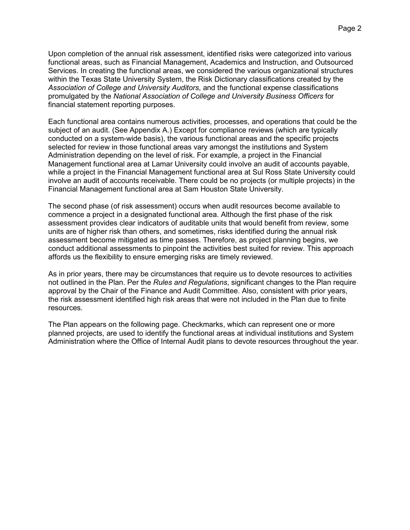Upon completion of the annual risk assessment, identified risks were categorized into various functional areas, such as Financial Management, Academics and Instruction, and Outsourced Services. In creating the functional areas, we considered the various organizational structures within the Texas State University System, the Risk Dictionary classifications created by the *Association of College and University Auditors*, and the functional expense classifications promulgated by the *National Association of College and University Business Officers* for financial statement reporting purposes.

Each functional area contains numerous activities, processes, and operations that could be the subject of an audit. (See Appendix A.) Except for compliance reviews (which are typically conducted on a system-wide basis), the various functional areas and the specific projects selected for review in those functional areas vary amongst the institutions and System Administration depending on the level of risk. For example, a project in the Financial Management functional area at Lamar University could involve an audit of accounts payable, while a project in the Financial Management functional area at Sul Ross State University could involve an audit of accounts receivable. There could be no projects (or multiple projects) in the Financial Management functional area at Sam Houston State University.

The second phase (of risk assessment) occurs when audit resources become available to commence a project in a designated functional area. Although the first phase of the risk assessment provides clear indicators of auditable units that would benefit from review, some units are of higher risk than others, and sometimes, risks identified during the annual risk assessment become mitigated as time passes. Therefore, as project planning begins, we conduct additional assessments to pinpoint the activities best suited for review. This approach affords us the flexibility to ensure emerging risks are timely reviewed.

As in prior years, there may be circumstances that require us to devote resources to activities not outlined in the Plan. Per the *Rules and Regulations*, significant changes to the Plan require approval by the Chair of the Finance and Audit Committee. Also, consistent with prior years, the risk assessment identified high risk areas that were not included in the Plan due to finite resources.

The Plan appears on the following page. Checkmarks, which can represent one or more planned projects, are used to identify the functional areas at individual institutions and System Administration where the Office of Internal Audit plans to devote resources throughout the year.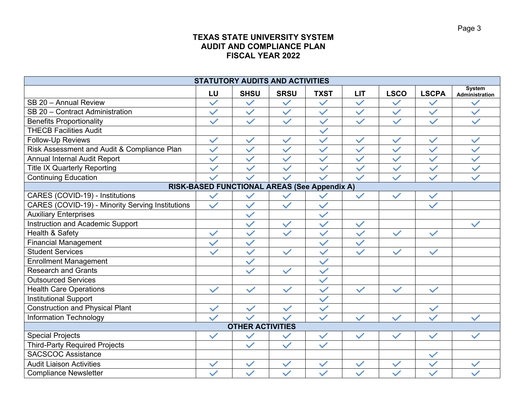## **TEXAS STATE UNIVERSITY SYSTEM AUDIT AND COMPLIANCE PLAN FISCAL YEAR 2022**

| <b>STATUTORY AUDITS AND ACTIVITIES</b>           |              |              |              |              |              |                         |              |                                 |  |
|--------------------------------------------------|--------------|--------------|--------------|--------------|--------------|-------------------------|--------------|---------------------------------|--|
|                                                  | LU           | <b>SHSU</b>  | <b>SRSU</b>  | <b>TXST</b>  | <b>LIT</b>   | <b>LSCO</b>             | <b>LSCPA</b> | <b>System</b><br>Administration |  |
| SB 20 - Annual Review                            | $\checkmark$ | $\checkmark$ | $\checkmark$ | $\checkmark$ | $\checkmark$ | $\checkmark$            | $\checkmark$ |                                 |  |
| SB 20 - Contract Administration                  | $\checkmark$ | $\checkmark$ | $\checkmark$ | $\checkmark$ | $\checkmark$ | $\checkmark$            | $\checkmark$ | $\checkmark$                    |  |
| <b>Benefits Proportionality</b>                  | $\checkmark$ | $\checkmark$ | $\checkmark$ | $\checkmark$ | $\checkmark$ | $\checkmark$            | $\checkmark$ |                                 |  |
| <b>THECB Facilities Audit</b>                    |              |              |              | $\checkmark$ |              |                         |              |                                 |  |
| Follow-Up Reviews                                | $\checkmark$ | $\checkmark$ | $\checkmark$ | $\checkmark$ | $\checkmark$ | $\checkmark$            | $\checkmark$ | $\checkmark$                    |  |
| Risk Assessment and Audit & Compliance Plan      | $\checkmark$ | $\checkmark$ | $\checkmark$ | $\checkmark$ | $\checkmark$ | $\checkmark$            | $\checkmark$ | $\checkmark$                    |  |
| <b>Annual Internal Audit Report</b>              | $\checkmark$ | $\checkmark$ | $\checkmark$ | $\checkmark$ | $\checkmark$ | $\checkmark$            | $\checkmark$ | $\checkmark$                    |  |
| <b>Title IX Quarterly Reporting</b>              | $\checkmark$ | $\checkmark$ | $\checkmark$ | $\checkmark$ | $\checkmark$ | $\checkmark$            | $\checkmark$ | $\checkmark$                    |  |
| <b>Continuing Education</b>                      |              |              | $\checkmark$ | $\checkmark$ | $\checkmark$ | $\checkmark$            | $\checkmark$ |                                 |  |
| RISK-BASED FUNCTIONAL AREAS (See Appendix A)     |              |              |              |              |              |                         |              |                                 |  |
| CARES (COVID-19) - Institutions                  | $\checkmark$ | $\checkmark$ |              |              | $\checkmark$ | $\checkmark$            | $\checkmark$ |                                 |  |
| CARES (COVID-19) - Minority Serving Institutions | $\checkmark$ | $\checkmark$ | $\checkmark$ | $\checkmark$ |              |                         | $\checkmark$ |                                 |  |
| <b>Auxiliary Enterprises</b>                     |              | $\checkmark$ |              | $\checkmark$ |              |                         |              |                                 |  |
| <b>Instruction and Academic Support</b>          |              | $\checkmark$ | $\checkmark$ | $\checkmark$ | $\checkmark$ |                         |              |                                 |  |
| Health & Safety                                  | $\checkmark$ | $\checkmark$ | $\checkmark$ | $\checkmark$ | $\checkmark$ | $\overline{\checkmark}$ | $\vee$       |                                 |  |
| <b>Financial Management</b>                      |              | $\checkmark$ |              | $\checkmark$ | $\checkmark$ |                         |              |                                 |  |
| <b>Student Services</b>                          | $\checkmark$ | $\checkmark$ | $\checkmark$ | $\checkmark$ | $\checkmark$ | $\checkmark$            | $\checkmark$ |                                 |  |
| <b>Enrollment Management</b>                     |              | $\checkmark$ |              | $\checkmark$ |              |                         |              |                                 |  |
| <b>Research and Grants</b>                       |              |              | $\checkmark$ | $\checkmark$ |              |                         |              |                                 |  |
| <b>Outsourced Services</b>                       |              |              |              | $\checkmark$ |              |                         |              |                                 |  |
| <b>Health Care Operations</b>                    | $\checkmark$ | $\checkmark$ | $\checkmark$ | $\checkmark$ | $\checkmark$ | $\checkmark$            | $\checkmark$ |                                 |  |
| <b>Institutional Support</b>                     |              |              |              | $\checkmark$ |              |                         |              |                                 |  |
| <b>Construction and Physical Plant</b>           |              | $\checkmark$ |              |              |              |                         |              |                                 |  |
| <b>Information Technology</b>                    |              |              |              | $\checkmark$ |              |                         |              |                                 |  |
| <b>OTHER ACTIVITIES</b>                          |              |              |              |              |              |                         |              |                                 |  |
| <b>Special Projects</b>                          | $\checkmark$ | $\checkmark$ |              | $\checkmark$ | $\checkmark$ | $\checkmark$            | $\checkmark$ | $\checkmark$                    |  |
| <b>Third-Party Required Projects</b>             |              | $\checkmark$ | $\checkmark$ | $\checkmark$ |              |                         |              |                                 |  |
| <b>SACSCOC Assistance</b>                        |              |              |              |              |              |                         | $\checkmark$ |                                 |  |
| <b>Audit Liaison Activities</b>                  |              | $\checkmark$ | $\checkmark$ | $\checkmark$ | $\checkmark$ | $\checkmark$            | $\checkmark$ |                                 |  |
| <b>Compliance Newsletter</b>                     |              |              | $\checkmark$ | $\checkmark$ |              |                         |              |                                 |  |